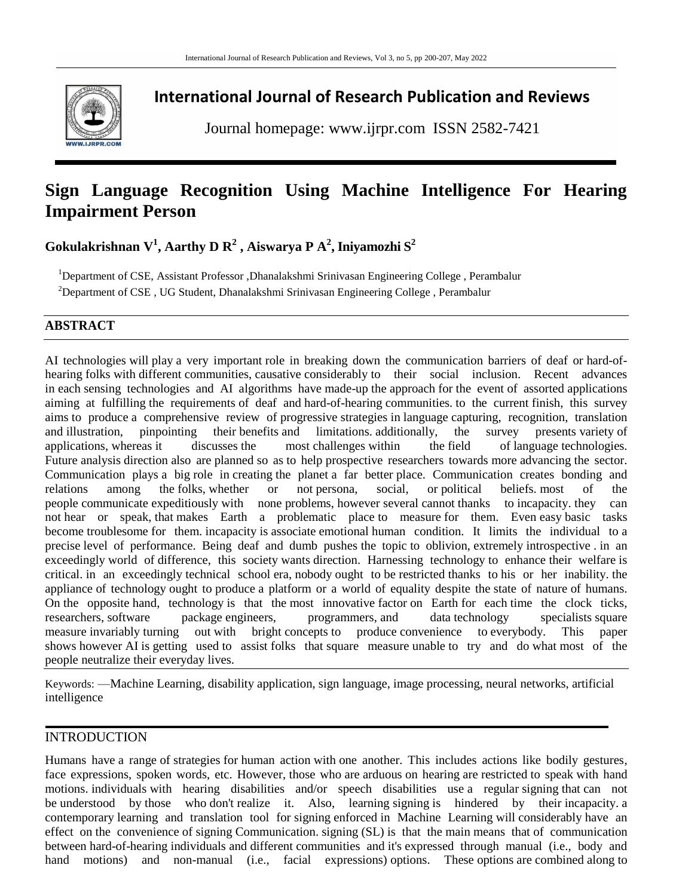

# **International Journal of Research Publication and Reviews**

Journal homepage: www.ijrpr.com ISSN 2582-7421

# **Sign Language Recognition Using Machine Intelligence For Hearing Impairment Person**

**Gokulakrishnan V 1 , Aarthy D R 2 , Aiswarya P A 2 , Iniyamozhi S<sup>2</sup>**

<sup>1</sup>Department of CSE, Assistant Professor ,Dhanalakshmi Srinivasan Engineering College , Perambalur

<sup>2</sup>Department of CSE, UG Student, Dhanalakshmi Srinivasan Engineering College, Perambalur

# **ABSTRACT**

AI technologies will play a very important role in breaking down the communication barriers of deaf or hard-ofhearing folks with different communities, causative considerably to their social inclusion. Recent advances in each sensing technologies and AI algorithms have made-up the approach for the event of assorted applications aiming at fulfilling the requirements of deaf and hard-of-hearing communities. to the current finish, this survey aims to produce a comprehensive review of progressive strategies in language capturing, recognition, translation and illustration, pinpointing their benefits and limitations. additionally, the survey presents variety of applications, whereas it discusses the most challenges within the field of language technologies. Future analysis direction also are planned so as to help prospective researchers towards more advancing the sector. Communication plays a big role in creating the planet a far better place. Communication creates bonding and relations among the folks, whether or not persona, social, or political beliefs most of the relations among the folks, whether or not persona, social, or political beliefs. most of the people communicate expeditiously with none problems, however several cannot thanks to incapacity. they can not hear or speak, that makes Earth a problematic place to measure for them. Even easy basic tasks become troublesome for them. incapacity is associate emotional human condition. It limits the individual to a precise level of performance. Being deaf and dumb pushes the topic to oblivion, extremely introspective . in an exceedingly world of difference, this society wants direction. Harnessing technology to enhance their welfare is critical. in an exceedingly technical school era, nobody ought to be restricted thanks to his or her inability. the appliance of technology ought to produce a platform or a world of equality despite the state of nature of humans. On the opposite hand, technology is that the most innovative factor on Earth for each time the clock ticks, researchers, software package engineers, programmers, and data technology specialists square measure invariably turning out with bright concepts to produce convenience to everybody. This paper shows however AI is getting used to assist folks that square measure unable to try and do what most of the people neutralize their everyday lives.

Keywords: —Machine Learning, disability application, sign language, image processing, neural networks, artificial intelligence

# **INTRODUCTION**

Humans have a range of strategies for human action with one another. This includes actions like bodily gestures, face expressions, spoken words, etc. However, those who are arduous on hearing are restricted to speak with hand motions. individuals with hearing disabilities and/or speech disabilities use a regular signing that can not be understood by those who don't realize it. Also, learning signing is hindered by their incapacity. a contemporary learning and translation tool for signing enforced in Machine Learning will considerably have an effect on the convenience of signing Communication. signing (SL) is that the main means that of communication between hard-of-hearing individuals and different communities and it's expressed through manual (i.e., body and hand motions) and non-manual (i.e., facial expressions) options. These options are combined along to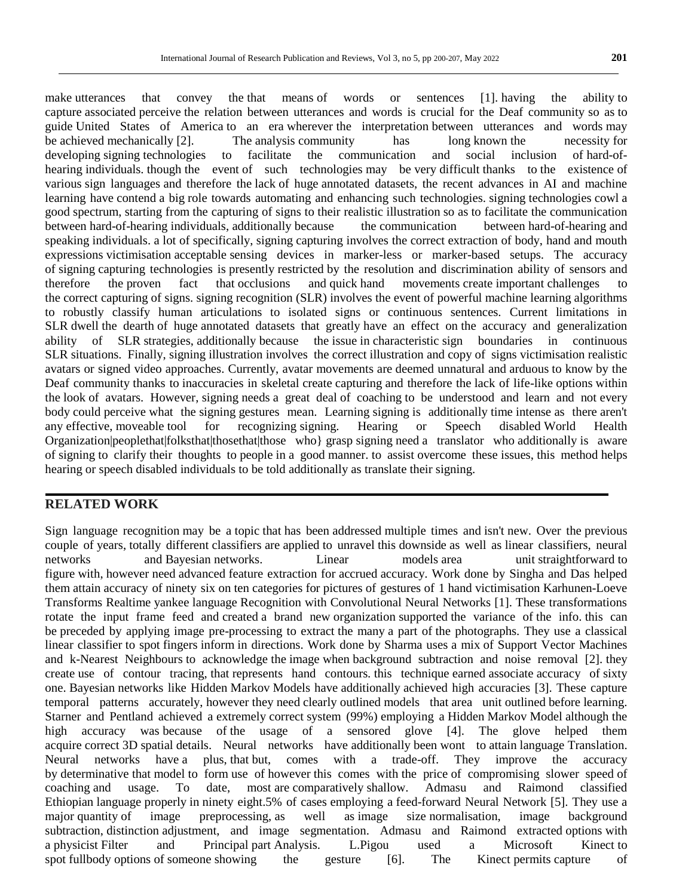make utterances that convey the that means of words or sentences [1]. having the ability to capture associated perceive the relation between utterances and words is crucial for the Deaf community so as to guide United States of America to an era wherever the interpretation between utterances and words may be achieved mechanically [2]. The analysis community has long known the necessity for developing signing technologies to facilitate the communication and social inclusion of hard-ofhearing individuals. though the event of such technologies may be very difficult thanks to the existence of various sign languages and therefore the lack of huge annotated datasets, the recent advances in AI and machine learning have contend a big role towards automating and enhancing such technologies. signing technologies cowl a good spectrum, starting from the capturing of signs to their realistic illustration so as to facilitate the communication between hard-of-hearing individuals, additionally because the communication between hard-of-hearing and speaking individuals. a lot of specifically, signing capturing involves the correct extraction of body, hand and mouth expressions victimisation acceptable sensing devices in marker-less or marker-based setups. The accuracy of signing capturing technologies is presently restricted by the resolution and discrimination ability of sensors and therefore the proven fact that occlusions and quick hand movements create important challenges to the correct capturing of signs. signing recognition (SLR) involves the event of powerful machine learning algorithms to robustly classify human articulations to isolated signs or continuous sentences. Current limitations in SLR dwell the dearth of huge annotated datasets that greatly have an effect on the accuracy and generalization ability of SLR strategies, additionally because the issue in characteristic sign boundaries in continuous SLR situations. Finally, signing illustration involves the correct illustration and copy of signs victimisation realistic avatars or signed video approaches. Currently, avatar movements are deemed unnatural and arduous to know by the Deaf community thanks to inaccuracies in skeletal create capturing and therefore the lack of life-like options within the look of avatars. However, signing needs a great deal of coaching to be understood and learn and not every body could perceive what the signing gestures mean. Learning signing is additionally time intense as there aren't any effective, moveable tool for recognizing signing. Hearing or Speech disabled World Health any effective, moveable tool for recognizing signing. Hearing or Speech disabled World Health Organization|peoplethat|folksthat|thosethat|those who} grasp signing need a translator who additionally is aware of signing to clarify their thoughts to people in a good manner. to assist overcome these issues, this method helps hearing or speech disabled individuals to be told additionally as translate their signing.

## **RELATED WORK**

Sign language recognition may be a topic that has been addressed multiple times and isn't new. Over the previous couple of years, totally different classifiers are applied to unravel this downside as well as linear classifiers, neural networks and Bayesian networks. Linear models area unit straightforward to figure with, however need advanced feature extraction for accrued accuracy. Work done by Singha and Das helped them attain accuracy of ninety six on ten categories for pictures of gestures of 1 hand victimisation Karhunen-Loeve Transforms Realtime yankee language Recognition with Convolutional Neural Networks [1]. These transformations rotate the input frame feed and created a brand new organization supported the variance of the info. this can be preceded by applying image pre-processing to extract the many a part of the photographs. They use a classical linear classifier to spot fingers inform in directions. Work done by Sharma uses a mix of Support Vector Machines and k-Nearest Neighbours to acknowledge the image when background subtraction and noise removal [2]. they create use of contour tracing, that represents hand contours. this technique earned associate accuracy of sixty one. Bayesian networks like Hidden Markov Models have additionally achieved high accuracies [3]. These capture temporal patterns accurately, however they need clearly outlined models that area unit outlined before learning. Starner and Pentland achieved a extremely correct system (99%) employing a Hidden Markov Model although the high accuracy was because of the usage of a sensored glove [4]. The glove helped them acquire correct 3D spatial details. Neural networks have additionally been wont to attain language Translation. Neural networks have a plus, that but, comes with a trade-off. They improve the accuracy by determinative that model to form use of however this comes with the price of compromising slower speed of coaching and usage. To date, most are comparatively shallow. Admasu and Raimond classified Ethiopian language properly in ninety eight.5% of cases employing a feed-forward Neural Network [5]. They use a major quantity of image preprocessing, as well as image size normalisation, image background subtraction, distinction adjustment, and image segmentation. Admasu and Raimond extracted options with a physicist Filter and Principal part Analysis. L.Pigou used a Microsoft Kinect to spot fullbody options of someone showing the gesture [6]. The Kinect permits capture of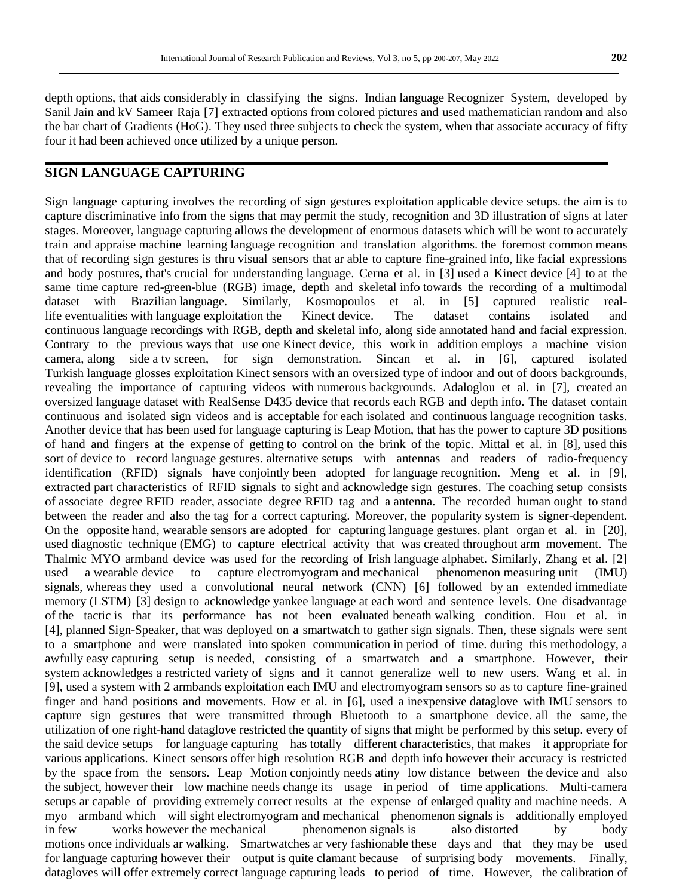depth options, that aids considerably in classifying the signs. Indian language Recognizer System, developed by Sanil Jain and kV Sameer Raja [7] extracted options from colored pictures and used mathematician random and also the bar chart of Gradients (HoG). They used three subjects to check the system, when that associate accuracy of fifty four it had been achieved once utilized by a unique person.

## **SIGN LANGUAGE CAPTURING**

Sign language capturing involves the recording of sign gestures exploitation applicable device setups. the aim is to capture discriminative info from the signs that may permit the study, recognition and 3D illustration of signs at later stages. Moreover, language capturing allows the development of enormous datasets which will be wont to accurately train and appraise machine learning language recognition and translation algorithms. the foremost common means that of recording sign gestures is thru visual sensors that ar able to capture fine-grained info, like facial expressions and body postures, that's crucial for understanding language. Cerna et al. in [3] used a Kinect device [4] to at the same time capture red-green-blue (RGB) image, depth and skeletal info towards the recording of a multimodal dataset with Brazilian language. Similarly, Kosmopoulos et al. in [5] captured realistic reallife eventualities with language exploitation the Kinect device. The dataset contains isolated and continuous language recordings with RGB, depth and skeletal info, along side annotated hand and facial expression. Contrary to the previous ways that use one Kinect device, this work in addition employs a machine vision camera, along side a tv screen, for sign demonstration. Sincan et al. in [6], captured isolated Turkish language glosses exploitation Kinect sensors with an oversized type of indoor and out of doors backgrounds, revealing the importance of capturing videos with numerous backgrounds. Adaloglou et al. in [7], created an oversized language dataset with RealSense D435 device that records each RGB and depth info. The dataset contain continuous and isolated sign videos and is acceptable for each isolated and continuous language recognition tasks. Another device that has been used for language capturing is Leap Motion, that has the power to capture 3D positions of hand and fingers at the expense of getting to control on the brink of the topic. Mittal et al. in [8], used this sort of device to record language gestures. alternative setups with antennas and readers of radio-frequency identification (RFID) signals have conjointly been adopted for language recognition. Meng et al. in [9], extracted part characteristics of RFID signals to sight and acknowledge sign gestures. The coaching setup consists of associate degree RFID reader, associate degree RFID tag and a antenna. The recorded human ought to stand between the reader and also the tag for a correct capturing. Moreover, the popularity system is signer-dependent. On the opposite hand, wearable sensors are adopted for capturing language gestures. plant organ et al. in [20], used diagnostic technique (EMG) to capture electrical activity that was created throughout arm movement. The Thalmic MYO armband device was used for the recording of Irish language alphabet. Similarly, Zhang et al. [2] used a wearable device to capture electromyogram and mechanical phenomenon measuring unit (IMU) signals, whereas they used a convolutional neural network (CNN) [6] followed by an extended immediate memory (LSTM) [3] design to acknowledge yankee language at each word and sentence levels. One disadvantage of the tactic is that its performance has not been evaluated beneath walking condition. Hou et al. in [4], planned Sign-Speaker, that was deployed on a smartwatch to gather sign signals. Then, these signals were sent to a smartphone and were translated into spoken communication in period of time. during this methodology, a awfully easy capturing setup is needed, consisting of a smartwatch and a smartphone. However, their system acknowledges a restricted variety of signs and it cannot generalize well to new users. Wang et al. in [9], used a system with 2 armbands exploitation each IMU and electromyogram sensors so as to capture fine-grained finger and hand positions and movements. How et al. in [6], used a inexpensive dataglove with IMU sensors to capture sign gestures that were transmitted through Bluetooth to a smartphone device. all the same, the utilization of one right-hand dataglove restricted the quantity of signs that might be performed by this setup. every of the said device setups for language capturing has totally different characteristics, that makes it appropriate for various applications. Kinect sensors offer high resolution RGB and depth info however their accuracy is restricted by the space from the sensors. Leap Motion conjointly needs atiny low distance between the device and also the subject, however their low machine needs change its usage in period of time applications. Multi-camera setups ar capable of providing extremely correct results at the expense of enlarged quality and machine needs. A myo armband which will sight electromyogram and mechanical phenomenon signals is additionally employed in few works however the mechanical phenomenon signals is also distorted by body motions once individuals ar walking. Smartwatches ar very fashionable these days and that they may be used for language capturing however their output is quite clamant because of surprising body movements. Finally, datagloves will offer extremely correct language capturing leads to period of time. However, the calibration of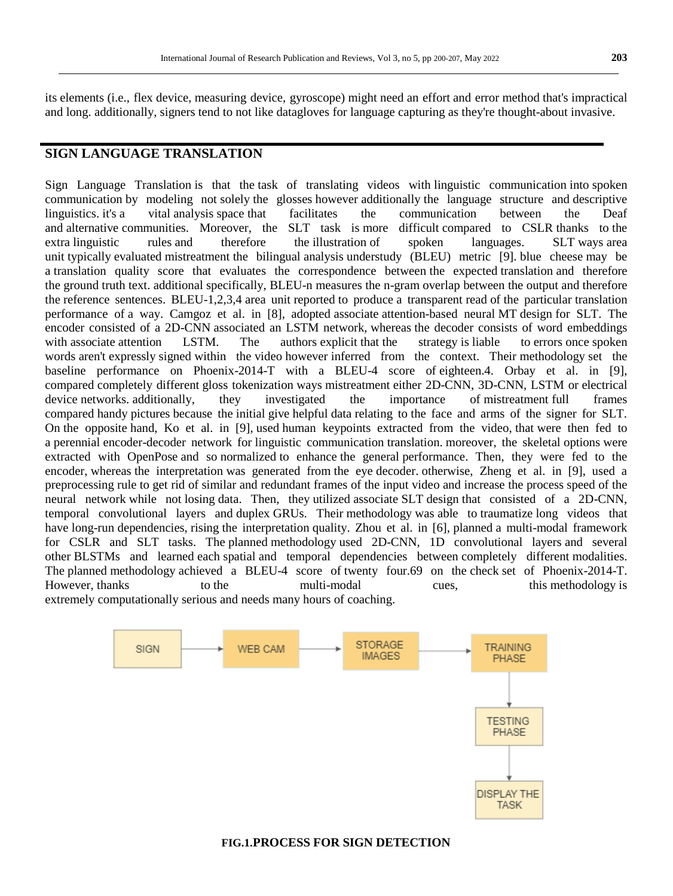its elements (i.e., flex device, measuring device, gyroscope) might need an effort and error method that's impractical and long. additionally, signers tend to not like datagloves for language capturing as they're thought-about invasive.

## **SIGN LANGUAGE TRANSLATION**

Sign Language Translation is that the task of translating videos with linguistic communication into spoken communication by modeling not solely the glosses however additionally the language structure and descriptive linguistics. it's a vital analysis space that facilitates the communication between the Deaf and alternative communities. Moreover, the SLT task is more difficult compared to CSLR thanks to the SLT task is more difficult compared to CSLR thanks to the extra linguistic rules and therefore the illustration of spoken languages. SLT ways area unit typically evaluated mistreatment the bilingual analysis understudy (BLEU) metric [9]. blue cheese may be a translation quality score that evaluates the correspondence between the expected translation and therefore the ground truth text. additional specifically, BLEU-n measures the n-gram overlap between the output and therefore the reference sentences. BLEU-1,2,3,4 area unit reported to produce a transparent read of the particular translation performance of a way. Camgoz et al. in [8], adopted associate attention-based neural MT design for SLT. The encoder consisted of a 2D-CNN associated an LSTM network, whereas the decoder consists of word embeddings with associate attention LSTM. The authors explicit that the strategy is liable to errors once spoken LSTM. The authors explicit that the strategy is liable to errors once spoken words aren't expressly signed within the video however inferred from the context. Their methodology set the baseline performance on Phoenix-2014-T with a BLEU-4 score of eighteen.4. Orbay et al. in [9], compared completely different gloss tokenization ways mistreatment either 2D-CNN, 3D-CNN, LSTM or electrical device networks. additionally, they investigated the importance of mistreatment full frames compared handy pictures because the initial give helpful data relating to the face and arms of the signer for SLT. On the opposite hand, Ko et al. in [9], used human keypoints extracted from the video, that were then fed to a perennial encoder-decoder network for linguistic communication translation. moreover, the skeletal options were extracted with OpenPose and so normalized to enhance the general performance. Then, they were fed to the encoder, whereas the interpretation was generated from the eye decoder. otherwise, Zheng et al. in [9], used a preprocessing rule to get rid of similar and redundant frames of the input video and increase the process speed of the neural network while not losing data. Then, they utilized associate SLT design that consisted of a 2D-CNN, temporal convolutional layers and duplex GRUs. Their methodology was able to traumatize long videos that have long-run dependencies, rising the interpretation quality. Zhou et al. in [6], planned a multi-modal framework for CSLR and SLT tasks. The planned methodology used 2D-CNN, 1D convolutional layers and several other BLSTMs and learned each spatial and temporal dependencies between completely different modalities. The planned methodology achieved a BLEU-4 score of twenty four.69 on the check set of Phoenix-2014-T. However, thanks to the multi-modal cues, this methodology is extremely computationally serious and needs many hours of coaching.



#### **FIG.1.PROCESS FOR SIGN DETECTION**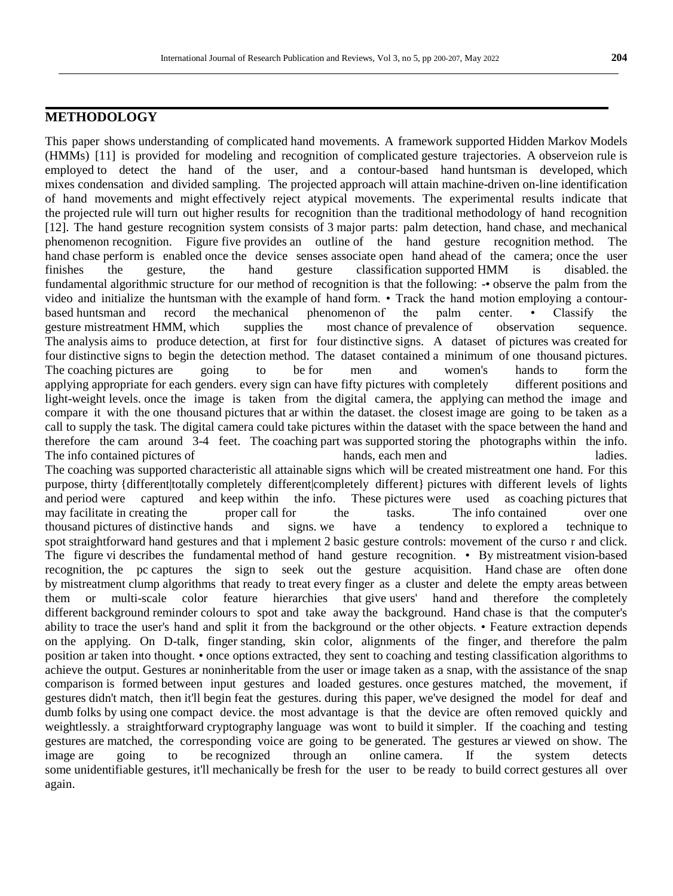## **METHODOLOGY**

This paper shows understanding of complicated hand movements. A framework supported Hidden Markov Models (HMMs) [11] is provided for modeling and recognition of complicated gesture trajectories. A observeion rule is employed to detect the hand of the user, and a contour-based hand huntsman is developed, which mixes condensation and divided sampling. The projected approach will attain machine-driven on-line identification of hand movements and might effectively reject atypical movements. The experimental results indicate that the projected rule will turn out higher results for recognition than the traditional methodology of hand recognition [12]. The hand gesture recognition system consists of 3 major parts: palm detection, hand chase, and mechanical phenomenon recognition. Figure five provides an outline of the hand gesture recognition method. The hand chase perform is enabled once the device senses associate open hand ahead of the camera; once the user finishes the gesture, the hand gesture classification supported HMM is disabled. the fundamental algorithmic structure for our method of recognition is that the following: -• observe the palm from the video and initialize the huntsman with the example of hand form. • Track the hand motion employing a contourbased huntsman and record the mechanical phenomenon of the palm center. • Classify the gesture mistreatment HMM, which supplies the most chance of prevalence of observation sequence. The analysis aims to produce detection, at first for four distinctive signs. A dataset of pictures was created for four distinctive signs to begin the detection method. The dataset contained a minimum of one thousand pictures. The coaching pictures are going to be for men and women's hands to form the applying appropriate for each genders. every sign can have fifty pictures with completely different positions and light-weight levels. once the image is taken from the digital camera, the applying can method the image and compare it with the one thousand pictures that ar within the dataset. the closest image are going to be taken as a call to supply the task. The digital camera could take pictures within the dataset with the space between the hand and therefore the cam around 3-4 feet. The coaching part was supported storing the photographs within the info. The info contained pictures of hands, each men and ladies. The coaching was supported characteristic all attainable signs which will be created mistreatment one hand. For this purpose, thirty {different|totally completely different|completely different} pictures with different levels of lights and period were captured and keep within the info. These pictures were used as coaching pictures that may facilitate in creating the proper call for the tasks. The info contained over one thousand pictures of distinctive hands and signs. we have a tendency to explored a technique to spot straightforward hand gestures and that i mplement 2 basic gesture controls: movement of the curso r and click. The figure vi describes the fundamental method of hand gesture recognition. • By mistreatment vision-based recognition, the pc captures the sign to seek out the gesture acquisition. Hand chase are often done by mistreatment clump algorithms that ready to treat every finger as a cluster and delete the empty areas between them or multi-scale color feature hierarchies that give users' hand and therefore the completely different background reminder colours to spot and take away the background. Hand chase is that the computer's ability to trace the user's hand and split it from the background or the other objects. • Feature extraction depends on the applying. On D-talk, finger standing, skin color, alignments of the finger, and therefore the palm position ar taken into thought. • once options extracted, they sent to coaching and testing classification algorithms to achieve the output. Gestures ar noninheritable from the user or image taken as a snap, with the assistance of the snap comparison is formed between input gestures and loaded gestures. once gestures matched, the movement, if gestures didn't match, then it'll begin feat the gestures. during this paper, we've designed the model for deaf and dumb folks by using one compact device. the most advantage is that the device are often removed quickly and weightlessly. a straightforward cryptography language was wont to build it simpler. If the coaching and testing gestures are matched, the corresponding voice are going to be generated. The gestures ar viewed on show. The image are going to be recognized through an online camera. If the system detects some unidentifiable gestures, it'll mechanically be fresh for the user to be ready to build correct gestures all over again.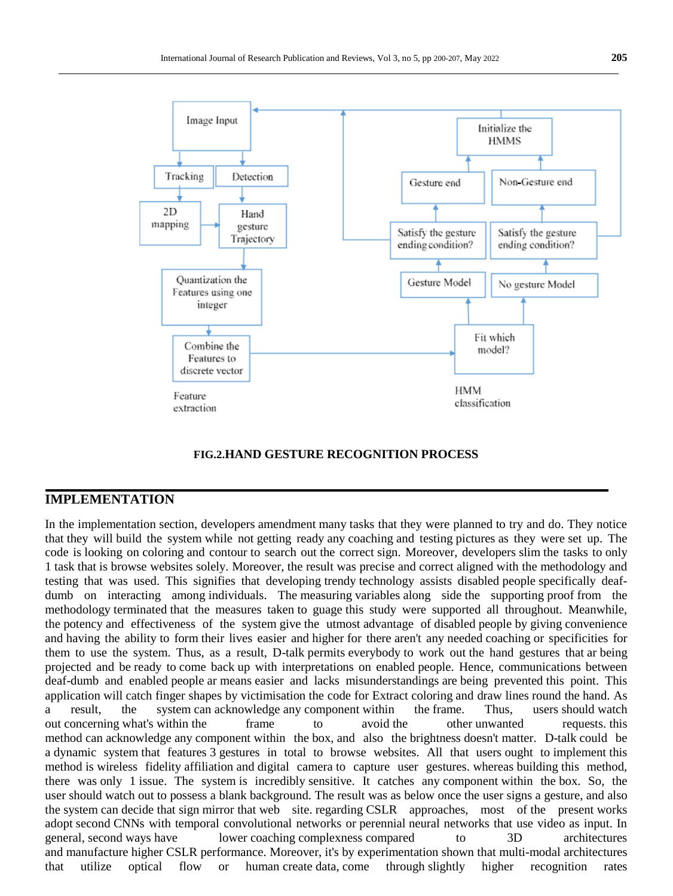

#### **FIG.2.HAND GESTURE RECOGNITION PROCESS**

#### **IMPLEMENTATION**

In the implementation section, developers amendment many tasks that they were planned to try and do. They notice that they will build the system while not getting ready any coaching and testing pictures as they were set up. The code is looking on coloring and contour to search out the correct sign. Moreover, developers slim the tasks to only 1 task that is browse websites solely. Moreover, the result was precise and correct aligned with the methodology and testing that was used. This signifies that developing trendy technology assists disabled people specifically deafdumb on interacting among individuals. The measuring variables along side the supporting proof from the methodology terminated that the measures taken to guage this study were supported all throughout. Meanwhile, the potency and effectiveness of the system give the utmost advantage of disabled people by giving convenience and having the ability to form their lives easier and higher for there aren't any needed coaching or specificities for them to use the system. Thus, as a result, D-talk permits everybody to work out the hand gestures that ar being projected and be ready to come back up with interpretations on enabled people. Hence, communications between deaf-dumb and enabled people ar means easier and lacks misunderstandings are being prevented this point. This application will catch finger shapes by victimisation the code for Extract coloring and draw lines round the hand. As a result, the system can acknowledge any component within the frame. Thus, users should watch out concerning what's within the frame to avoid the other unwanted requests. this method can acknowledge any component within the box, and also the brightness doesn't matter. D-talk could be a dynamic system that features 3 gestures in total to browse websites. All that users ought to implement this method is wireless fidelity affiliation and digital camera to capture user gestures. whereas building this method, there was only 1 issue. The system is incredibly sensitive. It catches any component within the box. So, the user should watch out to possess a blank background. The result was as below once the user signs a gesture, and also the system can decide that sign mirror that web site. regarding CSLR approaches, most of the present works adopt second CNNs with temporal convolutional networks or perennial neural networks that use video as input. In general, second ways have lower coaching complexness compared to 3D architectures and manufacture higher CSLR performance. Moreover, it's by experimentation shown that multi-modal architectures that utilize optical flow or human create data, come through slightly higher recognition rates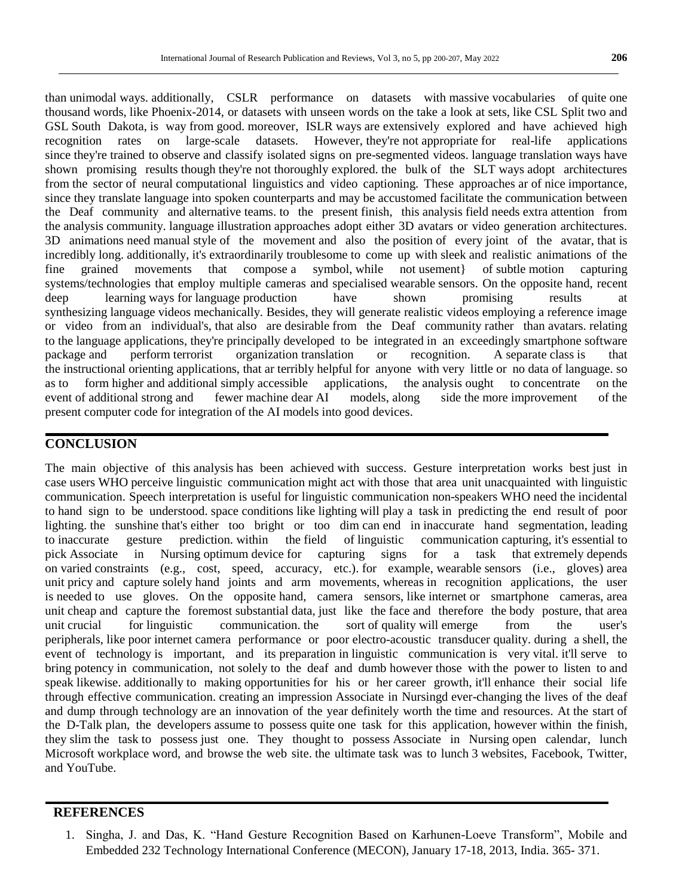than unimodal ways. additionally, CSLR performance on datasets with massive vocabularies of quite one thousand words, like Phoenix-2014, or datasets with unseen words on the take a look at sets, like CSL Split two and GSL South Dakota, is way from good. moreover, ISLR ways are extensively explored and have achieved high recognition rates on large-scale datasets. However, they're not appropriate for real-life applications since they're trained to observe and classify isolated signs on pre-segmented videos. language translation ways have shown promising results though they're not thoroughly explored. the bulk of the SLT ways adopt architectures from the sector of neural computational linguistics and video captioning. These approaches ar of nice importance, since they translate language into spoken counterparts and may be accustomed facilitate the communication between the Deaf community and alternative teams. to the present finish, this analysis field needs extra attention from the analysis community. language illustration approaches adopt either 3D avatars or video generation architectures. 3D animations need manual style of the movement and also the position of every joint of the avatar, that is incredibly long. additionally, it's extraordinarily troublesome to come up with sleek and realistic animations of the fine grained movements that compose a symbol, while not usement} of subtle motion capturing systems/technologies that employ multiple cameras and specialised wearable sensors. On the opposite hand, recent deep learning ways for language production have shown promising results at synthesizing language videos mechanically. Besides, they will generate realistic videos employing a reference image or video from an individual's, that also are desirable from the Deaf community rather than avatars. relating to the language applications, they're principally developed to be integrated in an exceedingly smartphone software package and perform terrorist organization translation or recognition. A separate class is that the instructional orienting applications, that ar terribly helpful for anyone with very little or no data of language. so as to form higher and additional simply accessible applications, the analysis ought to concentrate on the event of additional strong and fewer machine dear AI models, along side the more improvement of the present computer code for integration of the AI models into good devices.

## **CONCLUSION**

The main objective of this analysis has been achieved with success. Gesture interpretation works best just in case users WHO perceive linguistic communication might act with those that area unit unacquainted with linguistic communication. Speech interpretation is useful for linguistic communication non-speakers WHO need the incidental to hand sign to be understood. space conditions like lighting will play a task in predicting the end result of poor lighting. the sunshine that's either too bright or too dim can end in inaccurate hand segmentation, leading to inaccurate gesture prediction. within the field of linguistic communication capturing, it's essential to pick Associate in Nursing optimum device for capturing signs for a task that extremely depends on varied constraints (e.g., cost, speed, accuracy, etc.). for example, wearable sensors (i.e., gloves) area unit pricy and capture solely hand joints and arm movements, whereas in recognition applications, the user is needed to use gloves. On the opposite hand, camera sensors, like internet or smartphone cameras, area unit cheap and capture the foremost substantial data, just like the face and therefore the body posture, that area unit crucial for linguistic communication. the sort of quality will emerge from the user's peripherals, like poor internet camera performance or poor electro-acoustic transducer quality. during a shell, the event of technology is important, and its preparation in linguistic communication is very vital. it'll serve to bring potency in communication, not solely to the deaf and dumb however those with the power to listen to and speak likewise. additionally to making opportunities for his or her career growth, it'll enhance their social life through effective communication. creating an impression Associate in Nursingd ever-changing the lives of the deaf and dump through technology are an innovation of the year definitely worth the time and resources. At the start of the D-Talk plan, the developers assume to possess quite one task for this application, however within the finish, they slim the task to possess just one. They thought to possess Associate in Nursing open calendar, lunch Microsoft workplace word, and browse the web site. the ultimate task was to lunch 3 websites, Facebook, Twitter, and YouTube.

## **REFERENCES**

1. Singha, J. and Das, K. "Hand Gesture Recognition Based on Karhunen-Loeve Transform", Mobile and Embedded 232 Technology International Conference (MECON), January 17-18, 2013, India. 365- 371.